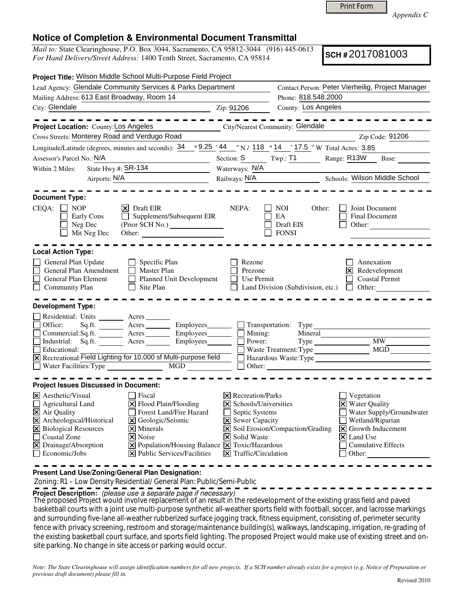Print Form

*Appendix C* 

## **Notice of Completion & Environmental Document Transmittal**

*Mail to:* State Clearinghouse, P.O. Box 3044, Sacramento, CA 95812-3044 (916) 445-0613 *For Hand Delivery/Street Address:* 1400 Tenth Street, Sacramento, CA 95814

**SCH #** 2017081003

| Project Title: Wilson Middle School Multi-Purpose Field Project                                                                           |                                                                                                                             |                                          |                                                                         |                                                                            |
|-------------------------------------------------------------------------------------------------------------------------------------------|-----------------------------------------------------------------------------------------------------------------------------|------------------------------------------|-------------------------------------------------------------------------|----------------------------------------------------------------------------|
| Lead Agency: Glendale Community Services & Parks Department                                                                               |                                                                                                                             |                                          | Contact Person: Peter Vierheilig, Project Manager                       |                                                                            |
| Mailing Address: 613 East Broadway, Room 14                                                                                               |                                                                                                                             | Phone: 818.548.2000                      |                                                                         |                                                                            |
| City: Glendale                                                                                                                            |                                                                                                                             | Zip: 91206                               | County: Los Angeles                                                     |                                                                            |
|                                                                                                                                           | - - - - - -                                                                                                                 |                                          |                                                                         |                                                                            |
| Project Location: County: Los Angeles                                                                                                     |                                                                                                                             | City/Nearest Community: Glendale         |                                                                         |                                                                            |
| Cross Streets: Monterey Road and Verdugo Road                                                                                             |                                                                                                                             |                                          |                                                                         | Zip Code: 91206                                                            |
| Longitude/Latitude (degrees, minutes and seconds): $34 \cdot 9.25 \cdot 44$ "N / 118 .14 .17.5 "W Total Acres: 3.85                       |                                                                                                                             |                                          |                                                                         |                                                                            |
| Assessor's Parcel No.: N/A                                                                                                                |                                                                                                                             | Section: S                               | $Twp.:$ $T1$                                                            | Range: R13W<br>Base:                                                       |
| State Hwy #: SR-134<br>Within 2 Miles:                                                                                                    |                                                                                                                             | Waterways: N/A                           |                                                                         |                                                                            |
| Airports: N/A                                                                                                                             |                                                                                                                             | Railways: N/A                            |                                                                         | Schools: Wilson Middle School                                              |
| <b>Document Type:</b>                                                                                                                     |                                                                                                                             |                                          |                                                                         |                                                                            |
| CEQA: □ NOP<br>Early Cons<br>Neg Dec<br>Mit Neg Dec                                                                                       | $ \mathsf{X} $ Draft EIR<br>Supplement/Subsequent EIR<br>$\mathbf{L}$<br>Other:                                             | NEPA:                                    | NOI.<br>Other:<br>EA<br>Draft EIS<br><b>FONSI</b>                       | Joint Document<br>Final Document<br>Other:                                 |
| <b>Local Action Type:</b>                                                                                                                 |                                                                                                                             |                                          |                                                                         |                                                                            |
| General Plan Update<br>П<br>General Plan Amendment<br>$\Box$<br>General Plan Element<br>$\Box$ Community Plan<br><b>Development Type:</b> | Specific Plan<br><b>Master Plan</b><br>Planned Unit Development<br>П<br>$\Box$ Site Plan                                    | Rezone<br>Prezone<br>Use Permit          | Land Division (Subdivision, etc.)                                       | Annexation<br>⊠<br>Redevelopment<br><b>Coastal Permit</b><br>$\Box$ Other: |
| Residential: Units _______ Acres_                                                                                                         |                                                                                                                             |                                          |                                                                         |                                                                            |
| Office:                                                                                                                                   | Sq.ft. __________ Acres ___________ Employees________                                                                       |                                          | Transportation: Type                                                    |                                                                            |
|                                                                                                                                           | Commercial:Sq.ft. ________ Acres _________ Employees ________ __ Mining:                                                    |                                          | Mineral                                                                 |                                                                            |
| $\Box$                                                                                                                                    | Industrial: Sq.ft. Acres Employees                                                                                          | Power:                                   |                                                                         | MW                                                                         |
| Educational:<br>⊠ Recreational: Field Lighting for 10,000 sf Multi-purpose field Flazardous Waste: Type                                   |                                                                                                                             | MGD<br>Waste Treatment: Type             |                                                                         |                                                                            |
|                                                                                                                                           |                                                                                                                             | $\Box$ Other: $\Box$                     |                                                                         |                                                                            |
| <b>Project Issues Discussed in Document:</b>                                                                                              |                                                                                                                             |                                          |                                                                         |                                                                            |
| <b>X</b> Aesthetic/Visual                                                                                                                 | Fiscal                                                                                                                      | <b>X</b> Recreation/Parks                |                                                                         | Vegetation                                                                 |
| $\Box$ Agricultural Land                                                                                                                  | $\Xi$ Flood Plain/Flooding                                                                                                  | $\Xi$ Schools/Universities               |                                                                         | <b>X</b> Water Quality                                                     |
| X Air Quality                                                                                                                             | Forest Land/Fire Hazard                                                                                                     | Septic Systems                           |                                                                         | Water Supply/Groundwater                                                   |
| X Archeological/Historical                                                                                                                | X Geologic/Seismic                                                                                                          |                                          | <b>X</b> Sewer Capacity                                                 | Wetland/Riparian                                                           |
| X Biological Resources<br>$\times$ Minerals                                                                                               |                                                                                                                             |                                          | X Soil Erosion/Compaction/Grading<br>$\vert$ <b>X</b> Growth Inducement |                                                                            |
| Coastal Zone<br>$ \mathsf{X} $ Noise                                                                                                      |                                                                                                                             | <b>X</b> Solid Waste                     |                                                                         | $\vert\overline{\mathsf{x}}\vert$ Land Use                                 |
| $\boxtimes$ Drainage/Absorption<br>$\Box$ Economic/Jobs                                                                                   | $\boxed{\mathbf{X}}$ Population/Housing Balance $\boxed{\mathbf{X}}$ Toxic/Hazardous<br><b>X</b> Public Services/Facilities | $\boxed{\mathsf{X}}$ Traffic/Circulation |                                                                         | <b>Cumulative Effects</b><br>$\Box$ Other:                                 |
|                                                                                                                                           |                                                                                                                             |                                          |                                                                         |                                                                            |

**Present Land Use/Zoning/General Plan Designation:**

Zoning: R1 – Low Density Residential/ General Plan: Public/Semi-Public

**Project Description:** (please use a separate page if necessary)

The proposed Project would involve replacement of an result in the redevelopment of the existing grass field and paved<br>In the little water with a initial warm of the water water in the case of the state of the fact of the basketball courts with a joint use multi-purpose synthetic all-weather sports field with football, soccer, and lacrosse markings and surrounding five-lane all-weather rubberized surface jogging track, fitness equipment, consisting of, perimeter security fence with privacy screening, restroom and storage/maintenance building(s), walkways, landscaping, irrigation, re-grading of the existing basketball court surface, and sports field lighting. The proposed Project would make use of existing street and onsite parking. No change in site access or parking would occur.

*Note: The State Clearinghouse will assign identification numbers for all new projects. If a SCH number already exists for a project (e.g. Notice of Preparation or previous draft document) please fill in.*